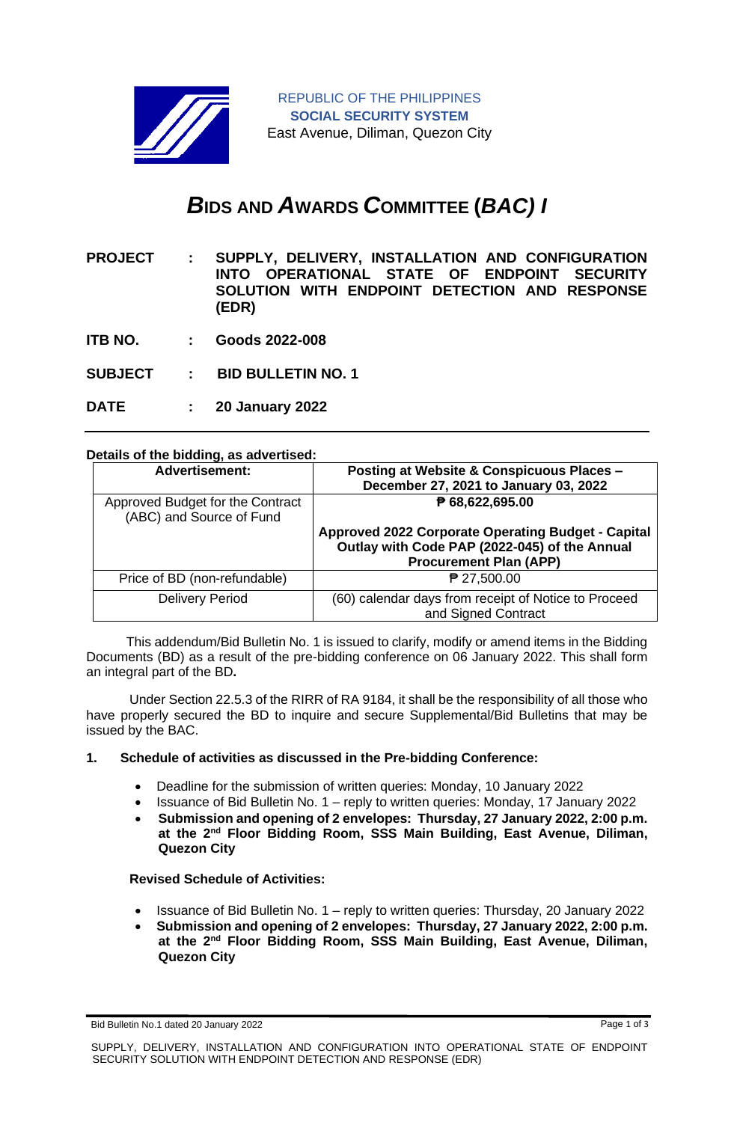

# *B***IDS AND** *A***WARDS** *C***OMMITTEE (***BAC) I*

**PROJECT : SUPPLY, DELIVERY, INSTALLATION AND CONFIGURATION INTO OPERATIONAL STATE OF ENDPOINT SECURITY SOLUTION WITH ENDPOINT DETECTION AND RESPONSE (EDR)** 

- **ITB NO. : Goods 2022-008**
- **SUBJECT : BID BULLETIN NO. 1**
- **DATE : 20 January 2022**

## **Details of the bidding, as advertised:**

| <b>Advertisement:</b>                                        | Posting at Website & Conspicuous Places -<br>December 27, 2021 to January 03, 2022                                                   |
|--------------------------------------------------------------|--------------------------------------------------------------------------------------------------------------------------------------|
| Approved Budget for the Contract<br>(ABC) and Source of Fund | ₱ 68,622,695.00                                                                                                                      |
|                                                              | Approved 2022 Corporate Operating Budget - Capital<br>Outlay with Code PAP (2022-045) of the Annual<br><b>Procurement Plan (APP)</b> |
| Price of BD (non-refundable)                                 | ₱ 27,500.00                                                                                                                          |
| <b>Delivery Period</b>                                       | (60) calendar days from receipt of Notice to Proceed<br>and Signed Contract                                                          |

 This addendum/Bid Bulletin No. 1 is issued to clarify, modify or amend items in the Bidding Documents (BD) as a result of the pre-bidding conference on 06 January 2022. This shall form an integral part of the BD**.**

Under Section 22.5.3 of the RIRR of RA 9184, it shall be the responsibility of all those who have properly secured the BD to inquire and secure Supplemental/Bid Bulletins that may be issued by the BAC.

#### **1. Schedule of activities as discussed in the Pre-bidding Conference:**

- Deadline for the submission of written queries: Monday, 10 January 2022
- Issuance of Bid Bulletin No. 1 reply to written queries: Monday, 17 January 2022
- **Submission and opening of 2 envelopes: Thursday, 27 January 2022, 2:00 p.m. at the 2nd Floor Bidding Room, SSS Main Building, East Avenue, Diliman, Quezon City**

#### **Revised Schedule of Activities:**

- Issuance of Bid Bulletin No. 1 reply to written queries: Thursday, 20 January 2022
- **Submission and opening of 2 envelopes: Thursday, 27 January 2022, 2:00 p.m. at the 2nd Floor Bidding Room, SSS Main Building, East Avenue, Diliman, Quezon City**

Bid Bulletin No.1 dated 20 January 2022 **Page 1 of 3** and 20 January 2022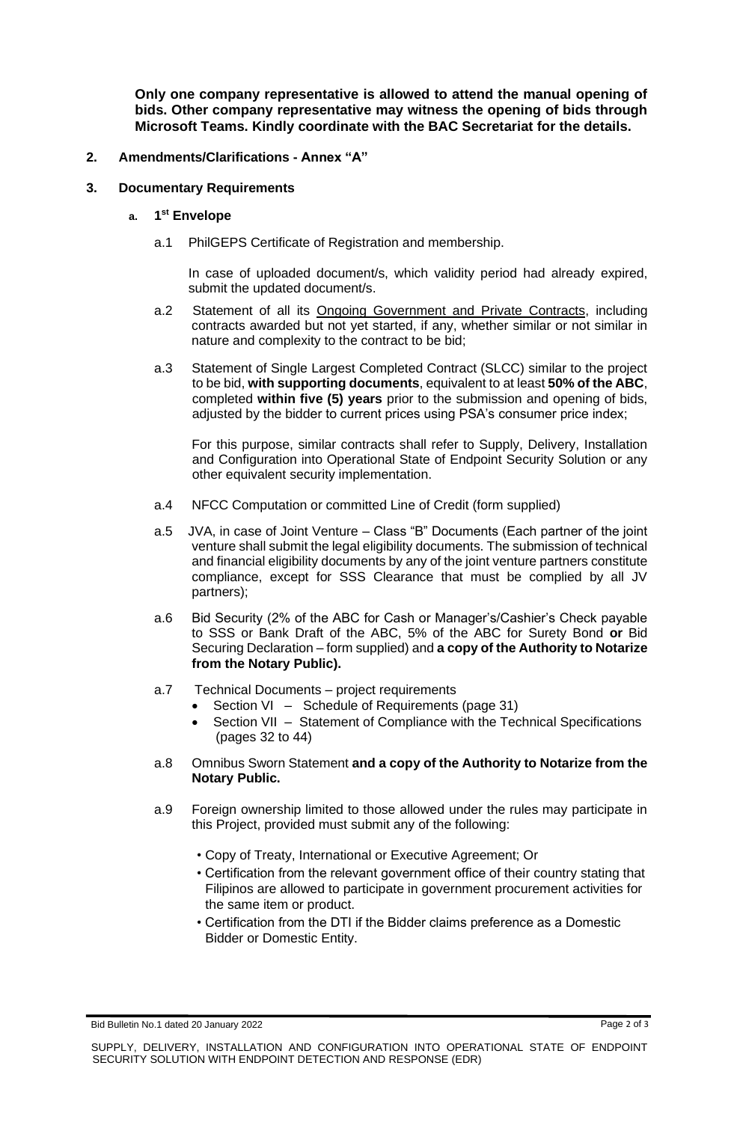**Only one company representative is allowed to attend the manual opening of bids. Other company representative may witness the opening of bids through Microsoft Teams. Kindly coordinate with the BAC Secretariat for the details.**

# **2. Amendments/Clarifications - Annex "A"**

# **3. Documentary Requirements**

# **a. 1 st Envelope**

a.1 PhilGEPS Certificate of Registration and membership.

In case of uploaded document/s, which validity period had already expired, submit the updated document/s.

- a.2 Statement of all its Ongoing Government and Private Contracts, including contracts awarded but not yet started, if any, whether similar or not similar in nature and complexity to the contract to be bid;
- a.3 Statement of Single Largest Completed Contract (SLCC) similar to the project to be bid, **with supporting documents**, equivalent to at least **50% of the ABC**, completed **within five (5) years** prior to the submission and opening of bids, adjusted by the bidder to current prices using PSA's consumer price index;

For this purpose, similar contracts shall refer to Supply, Delivery, Installation and Configuration into Operational State of Endpoint Security Solution or any other equivalent security implementation.

- a.4 NFCC Computation or committed Line of Credit (form supplied)
- a.5 JVA, in case of Joint Venture Class "B" Documents (Each partner of the joint venture shall submit the legal eligibility documents. The submission of technical and financial eligibility documents by any of the joint venture partners constitute compliance, except for SSS Clearance that must be complied by all JV partners);
- a.6 Bid Security (2% of the ABC for Cash or Manager's/Cashier's Check payable to SSS or Bank Draft of the ABC, 5% of the ABC for Surety Bond **or** Bid Securing Declaration – form supplied) and **a copy of the Authority to Notarize from the Notary Public).**
- a.7 Technical Documents project requirements
	- Section VI Schedule of Requirements (page 31)
	- Section VII Statement of Compliance with the Technical Specifications (pages 32 to 44)
- a.8 Omnibus Sworn Statement **and a copy of the Authority to Notarize from the Notary Public.**
- a.9 Foreign ownership limited to those allowed under the rules may participate in this Project, provided must submit any of the following:
	- Copy of Treaty, International or Executive Agreement; Or
	- Certification from the relevant government office of their country stating that Filipinos are allowed to participate in government procurement activities for the same item or product.
	- Certification from the DTI if the Bidder claims preference as a Domestic Bidder or Domestic Entity.

Bid Bulletin No.1 dated 20 January 2022 **Page 2 of 3** and 20 January 2022 **Page 2 of 3**